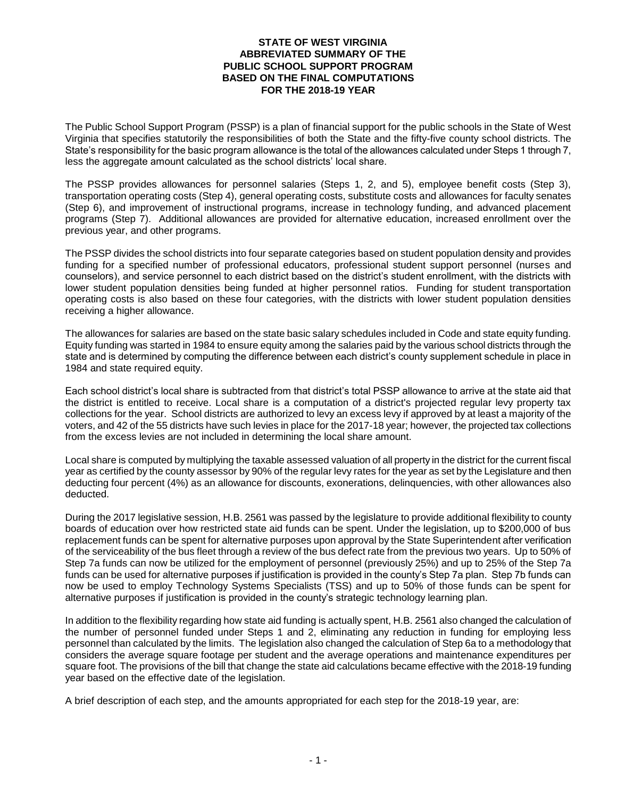## **STATE OF WEST VIRGINIA ABBREVIATED SUMMARY OF THE PUBLIC SCHOOL SUPPORT PROGRAM BASED ON THE FINAL COMPUTATIONS FOR THE 2018-19 YEAR**

The Public School Support Program (PSSP) is a plan of financial support for the public schools in the State of West Virginia that specifies statutorily the responsibilities of both the State and the fifty-five county school districts. The State's responsibility for the basic program allowance is the total of the allowances calculated under Steps 1 through 7, less the aggregate amount calculated as the school districts' local share.

The PSSP provides allowances for personnel salaries (Steps 1, 2, and 5), employee benefit costs (Step 3), transportation operating costs (Step 4), general operating costs, substitute costs and allowances for faculty senates (Step 6), and improvement of instructional programs, increase in technology funding, and advanced placement programs (Step 7). Additional allowances are provided for alternative education, increased enrollment over the previous year, and other programs.

The PSSP divides the school districts into four separate categories based on student population density and provides funding for a specified number of professional educators, professional student support personnel (nurses and counselors), and service personnel to each district based on the district's student enrollment, with the districts with lower student population densities being funded at higher personnel ratios. Funding for student transportation operating costs is also based on these four categories, with the districts with lower student population densities receiving a higher allowance.

The allowances for salaries are based on the state basic salary schedules included in Code and state equity funding. Equity funding was started in 1984 to ensure equity among the salaries paid by the various school districts through the state and is determined by computing the difference between each district's county supplement schedule in place in 1984 and state required equity.

Each school district's local share is subtracted from that district's total PSSP allowance to arrive at the state aid that the district is entitled to receive. Local share is a computation of a district's projected regular levy property tax collections for the year. School districts are authorized to levy an excess levy if approved by at least a majority of the voters, and 42 of the 55 districts have such levies in place for the 2017-18 year; however, the projected tax collections from the excess levies are not included in determining the local share amount.

Local share is computed by multiplying the taxable assessed valuation of all property in the district for the current fiscal year as certified by the county assessor by 90% of the regular levy rates for the year as set by the Legislature and then deducting four percent (4%) as an allowance for discounts, exonerations, delinquencies, with other allowances also deducted.

During the 2017 legislative session, H.B. 2561 was passed by the legislature to provide additional flexibility to county boards of education over how restricted state aid funds can be spent. Under the legislation, up to \$200,000 of bus replacement funds can be spent for alternative purposes upon approval by the State Superintendent after verification of the serviceability of the bus fleet through a review of the bus defect rate from the previous two years. Up to 50% of Step 7a funds can now be utilized for the employment of personnel (previously 25%) and up to 25% of the Step 7a funds can be used for alternative purposes if justification is provided in the county's Step 7a plan. Step 7b funds can now be used to employ Technology Systems Specialists (TSS) and up to 50% of those funds can be spent for alternative purposes if justification is provided in the county's strategic technology learning plan.

In addition to the flexibility regarding how state aid funding is actually spent, H.B. 2561 also changed the calculation of the number of personnel funded under Steps 1 and 2, eliminating any reduction in funding for employing less personnel than calculated by the limits. The legislation also changed the calculation of Step 6a to a methodology that considers the average square footage per student and the average operations and maintenance expenditures per square foot. The provisions of the bill that change the state aid calculations became effective with the 2018-19 funding year based on the effective date of the legislation.

A brief description of each step, and the amounts appropriated for each step for the 2018-19 year, are: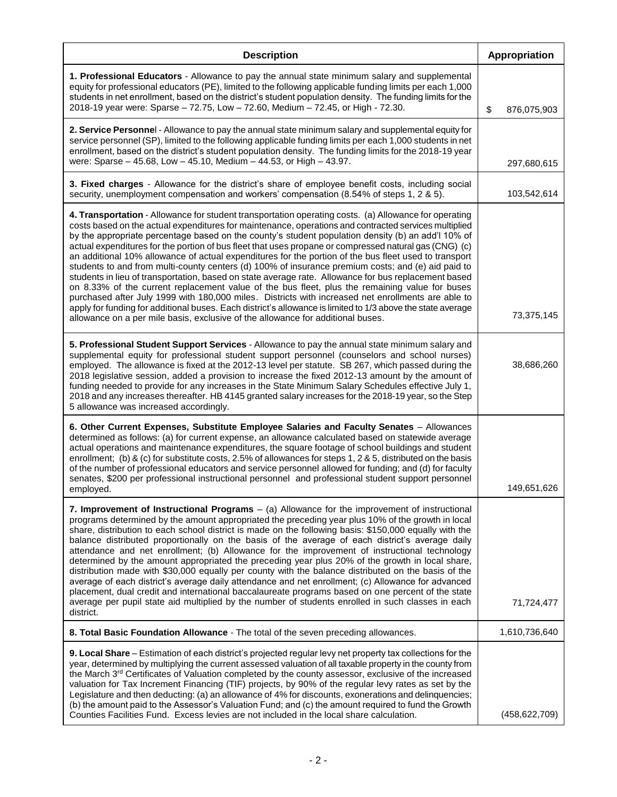| <b>Description</b>                                                                                                                                                                                                                                                                                                                                                                                                                                                                                                                                                                                                                                                                                                                                                                                                                                                                                                                                                                                                                                                                                                                                              | Appropriation     |
|-----------------------------------------------------------------------------------------------------------------------------------------------------------------------------------------------------------------------------------------------------------------------------------------------------------------------------------------------------------------------------------------------------------------------------------------------------------------------------------------------------------------------------------------------------------------------------------------------------------------------------------------------------------------------------------------------------------------------------------------------------------------------------------------------------------------------------------------------------------------------------------------------------------------------------------------------------------------------------------------------------------------------------------------------------------------------------------------------------------------------------------------------------------------|-------------------|
| 1. Professional Educators - Allowance to pay the annual state minimum salary and supplemental<br>equity for professional educators (PE), limited to the following applicable funding limits per each 1,000<br>students in net enrollment, based on the district's student population density. The funding limits for the<br>2018-19 year were: Sparse - 72.75, Low - 72.60, Medium - 72.45, or High - 72.30.                                                                                                                                                                                                                                                                                                                                                                                                                                                                                                                                                                                                                                                                                                                                                    | \$<br>876,075,903 |
| 2. Service Personnel - Allowance to pay the annual state minimum salary and supplemental equity for<br>service personnel (SP), limited to the following applicable funding limits per each 1,000 students in net<br>enrollment, based on the district's student population density. The funding limits for the 2018-19 year<br>were: Sparse - 45.68, Low - 45.10, Medium - 44.53, or High - 43.97.                                                                                                                                                                                                                                                                                                                                                                                                                                                                                                                                                                                                                                                                                                                                                              | 297,680,615       |
| 3. Fixed charges - Allowance for the district's share of employee benefit costs, including social<br>security, unemployment compensation and workers' compensation (8.54% of steps 1, 2 & 5).                                                                                                                                                                                                                                                                                                                                                                                                                                                                                                                                                                                                                                                                                                                                                                                                                                                                                                                                                                   | 103,542,614       |
| 4. Transportation - Allowance for student transportation operating costs. (a) Allowance for operating<br>costs based on the actual expenditures for maintenance, operations and contracted services multiplied<br>by the appropriate percentage based on the county's student population density (b) an add'l 10% of<br>actual expenditures for the portion of bus fleet that uses propane or compressed natural gas (CNG) (c)<br>an additional 10% allowance of actual expenditures for the portion of the bus fleet used to transport<br>students to and from multi-county centers (d) 100% of insurance premium costs; and (e) aid paid to<br>students in lieu of transportation, based on state average rate. Allowance for bus replacement based<br>on 8.33% of the current replacement value of the bus fleet, plus the remaining value for buses<br>purchased after July 1999 with 180,000 miles. Districts with increased net enrollments are able to<br>apply for funding for additional buses. Each district's allowance is limited to 1/3 above the state average<br>allowance on a per mile basis, exclusive of the allowance for additional buses. | 73,375,145        |
| 5. Professional Student Support Services - Allowance to pay the annual state minimum salary and<br>supplemental equity for professional student support personnel (counselors and school nurses)<br>employed. The allowance is fixed at the 2012-13 level per statute. SB 267, which passed during the<br>2018 legislative session, added a provision to increase the fixed 2012-13 amount by the amount of<br>funding needed to provide for any increases in the State Minimum Salary Schedules effective July 1,<br>2018 and any increases thereafter. HB 4145 granted salary increases for the 2018-19 year, so the Step<br>5 allowance was increased accordingly.                                                                                                                                                                                                                                                                                                                                                                                                                                                                                           | 38,686,260        |
| 6. Other Current Expenses, Substitute Employee Salaries and Faculty Senates - Allowances<br>determined as follows: (a) for current expense, an allowance calculated based on statewide average<br>actual operations and maintenance expenditures, the square footage of school buildings and student<br>enrollment; (b) & (c) for substitute costs, 2.5% of allowances for steps 1, 2 & 5, distributed on the basis<br>of the number of professional educators and service personnel allowed for funding; and (d) for faculty<br>senates, \$200 per professional instructional personnel and professional student support personnel<br>employed.                                                                                                                                                                                                                                                                                                                                                                                                                                                                                                                | 149,651,626       |
| 7. Improvement of Instructional Programs - (a) Allowance for the improvement of instructional<br>programs determined by the amount appropriated the preceding year plus 10% of the growth in local<br>share, distribution to each school district is made on the following basis: \$150,000 equally with the<br>balance distributed proportionally on the basis of the average of each district's average daily<br>attendance and net enrollment; (b) Allowance for the improvement of instructional technology<br>determined by the amount appropriated the preceding year plus 20% of the growth in local share,<br>distribution made with \$30,000 equally per county with the balance distributed on the basis of the<br>average of each district's average daily attendance and net enrollment; (c) Allowance for advanced<br>placement, dual credit and international baccalaureate programs based on one percent of the state<br>average per pupil state aid multiplied by the number of students enrolled in such classes in each<br>district.                                                                                                          | 71,724,477        |
| 8. Total Basic Foundation Allowance - The total of the seven preceding allowances.                                                                                                                                                                                                                                                                                                                                                                                                                                                                                                                                                                                                                                                                                                                                                                                                                                                                                                                                                                                                                                                                              | 1,610,736,640     |
| 9. Local Share - Estimation of each district's projected regular levy net property tax collections for the<br>year, determined by multiplying the current assessed valuation of all taxable property in the county from<br>the March 3 <sup>rd</sup> Certificates of Valuation completed by the county assessor, exclusive of the increased<br>valuation for Tax Increment Financing (TIF) projects, by 90% of the regular levy rates as set by the<br>Legislature and then deducting: (a) an allowance of 4% for discounts, exonerations and delinquencies;<br>(b) the amount paid to the Assessor's Valuation Fund; and (c) the amount required to fund the Growth<br>Counties Facilities Fund. Excess levies are not included in the local share calculation.                                                                                                                                                                                                                                                                                                                                                                                                | (458, 622, 709)   |